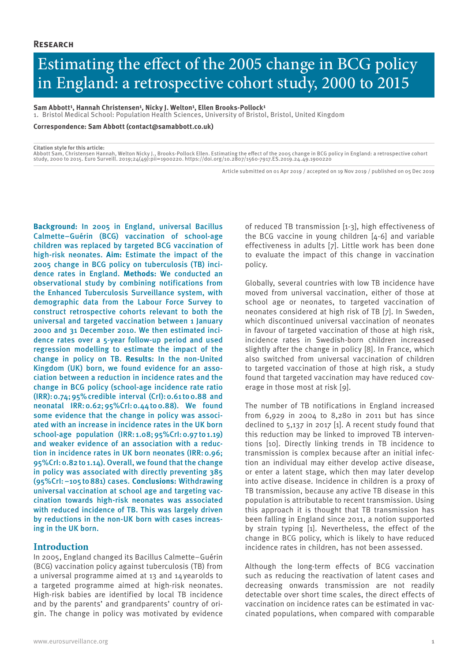# Estimating the effect of the 2005 change in BCG policy in England: a retrospective cohort study, 2000 to 2015

Sam Abbott<sup>1</sup>, Hannah Christensen<sup>1</sup>, Nicky J. Welton<sup>1</sup>, Ellen Brooks-Pollock<sup>1</sup>

1. Bristol Medical School: Population Health Sciences, University of Bristol, Bristol, United Kingdom

**Correspondence: Sam Abbott (contact@samabbott.co.uk)**

#### **Citation style for this article:**

Abbott Sam, Christensen Hannah, Welton Nicky J., Brooks-Pollock Ellen. Estimating the effect of the 2005 change in BCG policy in England: a retrospective cohort<br>study, 2000 to 2015. Euro Surveill. 2019;24(49):pii=1900220.

Article submitted on 01 Apr 2019 / accepted on 19 Nov 2019 / published on 05 Dec 2019

**Background:** In 2005 in England, universal Bacillus Calmette–Guérin (BCG) vaccination of school-age children was replaced by targeted BCG vaccination of high-risk neonates. **Aim:** Estimate the impact of the 2005 change in BCG policy on tuberculosis (TB) incidence rates in England. **Methods:** We conducted an observational study by combining notifications from the Enhanced Tuberculosis Surveillance system, with demographic data from the Labour Force Survey to construct retrospective cohorts relevant to both the universal and targeted vaccination between 1 January 2000 and 31 December 2010. We then estimated incidence rates over a 5-year follow-up period and used regression modelling to estimate the impact of the change in policy on TB. **Results:** In the non-United Kingdom (UK) born, we found evidence for an association between a reduction in incidence rates and the change in BCG policy (school-age incidence rate ratio  $(IRR): 0.74; 95\%$  credible interval  $(Cr!): 0.61$  to  $0.88$  and neonatal IRR:0.62;95%CrI:0.44to0.88). We found some evidence that the change in policy was associated with an increase in incidence rates in the UK born school-age population (IRR: 1.08;95%CrI:0.97to1.19) and weaker evidence of an association with a reduction in incidence rates in UK born neonates (IRR:0.96; 95%CrI:0.82to1.14). Overall, we found that the change in policy was associated with directly preventing 385 (95%CrI:−105to881) cases. **Conclusions:** Withdrawing universal vaccination at school age and targeting vaccination towards high-risk neonates was associated with reduced incidence of TB. This was largely driven by reductions in the non-UK born with cases increasing in the UK born.

## **Introduction**

In 2005, England changed its Bacillus Calmette–Guérin (BCG) vaccination policy against tuberculosis (TB) from a universal programme aimed at 13 and 14yearolds to a targeted programme aimed at high-risk neonates. High-risk babies are identified by local TB incidence and by the parents' and grandparents' country of origin. The change in policy was motivated by evidence

of reduced TB transmission [1-3], high effectiveness of the BCG vaccine in young children [4-6] and variable effectiveness in adults [7]. Little work has been done to evaluate the impact of this change in vaccination policy.

Globally, several countries with low TB incidence have moved from universal vaccination, either of those at school age or neonates, to targeted vaccination of neonates considered at high risk of TB [7]. In Sweden, which discontinued universal vaccination of neonates in favour of targeted vaccination of those at high risk, incidence rates in Swedish-born children increased slightly after the change in policy [8]. In France, which also switched from universal vaccination of children to targeted vaccination of those at high risk, a study found that targeted vaccination may have reduced coverage in those most at risk [9].

The number of TB notifications in England increased from 6,929 in 2004 to 8,280 in 2011 but has since declined to 5,137 in 2017 [1]. A recent study found that this reduction may be linked to improved TB interventions [10]. Directly linking trends in TB incidence to transmission is complex because after an initial infection an individual may either develop active disease, or enter a latent stage, which then may later develop into active disease. Incidence in children is a proxy of TB transmission, because any active TB disease in this population is attributable to recent transmission. Using this approach it is thought that TB transmission has been falling in England since 2011, a notion supported by strain typing [1]. Nevertheless, the effect of the change in BCG policy, which is likely to have reduced incidence rates in children, has not been assessed.

Although the long-term effects of BCG vaccination such as reducing the reactivation of latent cases and decreasing onwards transmission are not readily detectable over short time scales, the direct effects of vaccination on incidence rates can be estimated in vaccinated populations, when compared with comparable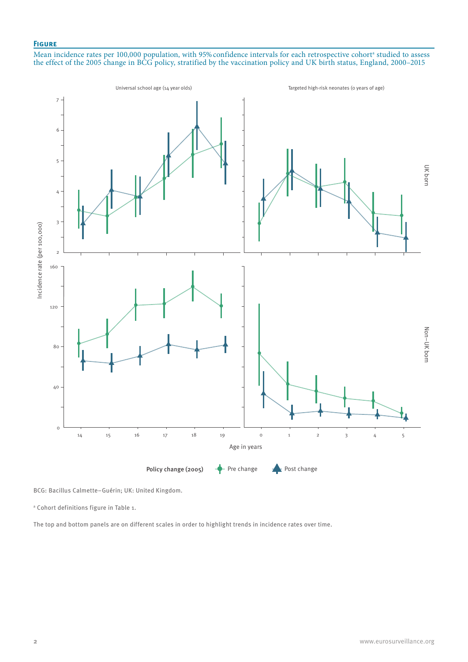## **Figure**

Mean incidence rates per 100,000 population, with 95% confidence intervals for each retrospective cohort<sup>a</sup> studied to assess the effect of the 2005 change in BCG policy, stratified by the vaccination policy and UK birth status, England, 2000–2015



BCG: Bacillus Calmette–Guérin; UK: United Kingdom.

a Cohort definitions figure in Table 1.

The top and bottom panels are on different scales in order to highlight trends in incidence rates over time.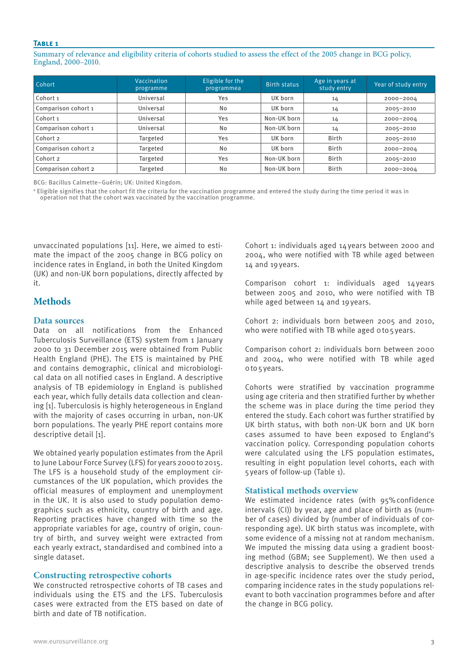Summary of relevance and eligibility criteria of cohorts studied to assess the effect of the 2005 change in BCG policy, England, 2000–2010.

| <b>Cohort</b>       | Vaccination<br>programme | Eligible for the<br>programmea | Birth status | Age in years at<br>study entry | Year of study entry |
|---------------------|--------------------------|--------------------------------|--------------|--------------------------------|---------------------|
| Cohort <sub>1</sub> | Universal                | Yes                            | UK born      | 14                             | 2000-2004           |
| Comparison cohort 1 | Universal                | No                             | UK born      | 14                             | 2005-2010           |
| Cohort 1            | Universal                | Yes                            | Non-UK born  | 14                             | 2000-2004           |
| Comparison cohort 1 | Universal                | No                             | Non-UK born  | 14                             | 2005-2010           |
| Cohort 2            | Targeted                 | Yes                            | UK born      | <b>Birth</b>                   | 2005-2010           |
| Comparison cohort 2 | Targeted                 | No                             | UK born      | <b>Birth</b>                   | 2000-2004           |
| Cohort 2            | Targeted                 | Yes                            | Non-UK born  | <b>Birth</b>                   | 2005-2010           |
| Comparison cohort 2 | Targeted                 | No                             | Non-UK born  | <b>Birth</b>                   | 2000-2004           |

BCG: Bacillus Calmette–Guérin; UK: United Kingdom.

 $^{\rm a}$  Eligible signifies that the cohort fit the criteria for the vaccination programme and entered the study during the time period it was in operation not that the cohort was vaccinated by the vaccination programme.

unvaccinated populations [11]. Here, we aimed to estimate the impact of the 2005 change in BCG policy on incidence rates in England, in both the United Kingdom (UK) and non-UK born populations, directly affected by it.

# **Methods**

#### **Data sources**

Data on all notifications from the Enhanced Tuberculosis Surveillance (ETS) system from 1 January 2000 to 31 December 2015 were obtained from Public Health England (PHE). The ETS is maintained by PHE and contains demographic, clinical and microbiological data on all notified cases in England. A descriptive analysis of TB epidemiology in England is published each year, which fully details data collection and cleaning [1]. Tuberculosis is highly heterogeneous in England with the majority of cases occurring in urban, non-UK born populations. The yearly PHE report contains more descriptive detail [1].

We obtained yearly population estimates from the April to June Labour Force Survey (LFS) for years 2000 to 2015. The LFS is a household study of the employment circumstances of the UK population, which provides the official measures of employment and unemployment in the UK. It is also used to study population demographics such as ethnicity, country of birth and age. Reporting practices have changed with time so the appropriate variables for age, country of origin, country of birth, and survey weight were extracted from each yearly extract, standardised and combined into a single dataset.

#### **Constructing retrospective cohorts**

We constructed retrospective cohorts of TB cases and individuals using the ETS and the LFS. Tuberculosis cases were extracted from the ETS based on date of birth and date of TB notification.

Cohort 1: individuals aged 14years between 2000 and 2004, who were notified with TB while aged between 14 and 19years.

Comparison cohort 1: individuals aged 14years between 2005 and 2010, who were notified with TB while aged between 14 and 19years.

Cohort 2: individuals born between 2005 and 2010, who were notified with TB while aged oto5years.

Comparison cohort 2: individuals born between 2000 and 2004, who were notified with TB while aged o to 5 years.

Cohorts were stratified by vaccination programme using age criteria and then stratified further by whether the scheme was in place during the time period they entered the study. Each cohort was further stratified by UK birth status, with both non-UK born and UK born cases assumed to have been exposed to England's vaccination policy. Corresponding population cohorts were calculated using the LFS population estimates, resulting in eight population level cohorts, each with 5years of follow-up (Table 1).

#### **Statistical methods overview**

We estimated incidence rates (with 95% confidence intervals (CI)) by year, age and place of birth as (number of cases) divided by (number of individuals of corresponding age). UK birth status was incomplete, with some evidence of a missing not at random mechanism. We imputed the missing data using a gradient boosting method (GBM; see Supplement). We then used a descriptive analysis to describe the observed trends in age-specific incidence rates over the study period, comparing incidence rates in the study populations relevant to both vaccination programmes before and after the change in BCG policy.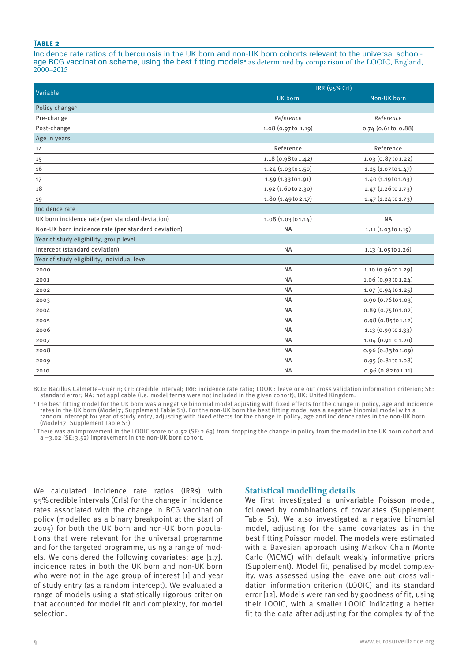Incidence rate ratios of tuberculosis in the UK born and non-UK born cohorts relevant to the universal schoolage BCG vaccination scheme, using the best fitting models<sup>a</sup> as determined by comparison of the LOOIC, England, 2000–2015

|                                                     | IRR (95% Crl)       |                     |  |  |  |  |
|-----------------------------------------------------|---------------------|---------------------|--|--|--|--|
| Variable                                            | UK born             | Non-UK born         |  |  |  |  |
| Policy change <sup>b</sup>                          |                     |                     |  |  |  |  |
| Pre-change                                          | Reference           | Reference           |  |  |  |  |
| Post-change                                         | 1.08 (0.97to 1.19)  | 0.74 (0.61 to 0.88) |  |  |  |  |
| Age in years                                        |                     |                     |  |  |  |  |
| 14                                                  | Reference           | Reference           |  |  |  |  |
| 15                                                  | 1.18 (0.98 to 1.42) | 1.03 (0.87t01.22)   |  |  |  |  |
| 16                                                  | 1.24 (1.03to 1.50)  | 1.25 (1.07 to 1.47) |  |  |  |  |
| 17                                                  | 1.59 (1.33 to 1.91) | 1.40 (1.19 to 1.63) |  |  |  |  |
| 18                                                  | 1.92 (1.60t0 2.30)  | 1.47 (1.26 to 1.73) |  |  |  |  |
| 19                                                  | 1.80 (1.49 to 2.17) | 1.47 (1.24 to 1.73) |  |  |  |  |
| Incidence rate                                      |                     |                     |  |  |  |  |
| UK born incidence rate (per standard deviation)     | 1.08(1.03101.14)    | <b>NA</b>           |  |  |  |  |
| Non-UK born incidence rate (per standard deviation) | <b>NA</b>           | 1.11 (1.03 to 1.19) |  |  |  |  |
| Year of study eligibility, group level              |                     |                     |  |  |  |  |
| Intercept (standard deviation)                      | <b>NA</b>           | 1.13 (1.05 to 1.26) |  |  |  |  |
| Year of study eligibility, individual level         |                     |                     |  |  |  |  |
| 2000                                                | <b>NA</b>           | 1.10 (0.96 to 1.29) |  |  |  |  |
| 2001                                                | <b>NA</b>           | 1.06 (0.93t01.24)   |  |  |  |  |
| 2002                                                | <b>NA</b>           | 1.07 (0.94 to 1.25) |  |  |  |  |
| 2003                                                | <b>NA</b>           | 0.90 (0.76 to 1.03) |  |  |  |  |
| 2004                                                | <b>NA</b>           | 0.89 (0.75 to 1.02) |  |  |  |  |
| 2005                                                | <b>NA</b>           | 0.98 (0.85 to 1.12) |  |  |  |  |
| 2006                                                | <b>NA</b>           | 1.13 (0.99 to 1.33) |  |  |  |  |
| 2007                                                | <b>NA</b>           | 1.04 (0.91t01.20)   |  |  |  |  |
| 2008                                                | <b>NA</b>           | 0.96 (0.83to 1.09)  |  |  |  |  |
| 2009                                                | <b>NA</b>           | 0.95 (0.81 to 1.08) |  |  |  |  |
| 2010                                                | <b>NA</b>           | 0.96 (0.82 to 1.11) |  |  |  |  |

BCG: Bacillus Calmette–Guérin; CrI: credible interval; IRR: incidence rate ratio; LOOIC: leave one out cross validation information criterion; SE: standard error; NA: not applicable (i.e. model terms were not included in the given cohort); UK: United Kingdom.

a The best fitting model for the UK born was a negative binomial model adjusting with fixed effects for the change in policy, age and incidence rates in the UK born (Model 7; Supplement Table S1). For the non-UK born the best fitting model was a negative binomial model with a random intercept for year of study entry, adjusting with fixed effects for the change in policy, age and incidence rates in the non-UK born (Model 17; Supplement Table S1).

b There was an improvement in the LOOIC score of 0.52 (SE:2.63) from dropping the change in policy from the model in the UK born cohort and a −3.02 (SE:3.52) improvement in the non-UK born cohort.

We calculated incidence rate ratios (IRRs) with 95%credible intervals (CrIs) for the change in incidence rates associated with the change in BCG vaccination policy (modelled as a binary breakpoint at the start of 2005) for both the UK born and non-UK born populations that were relevant for the universal programme and for the targeted programme, using a range of models. We considered the following covariates: age [1,7], incidence rates in both the UK born and non-UK born who were not in the age group of interest [1] and year of study entry (as a random intercept). We evaluated a range of models using a statistically rigorous criterion that accounted for model fit and complexity, for model selection.

## **Statistical modelling details**

We first investigated a univariable Poisson model, followed by combinations of covariates (Supplement Table S1). We also investigated a negative binomial model, adjusting for the same covariates as in the best fitting Poisson model. The models were estimated with a Bayesian approach using Markov Chain Monte Carlo (MCMC) with default weakly informative priors (Supplement). Model fit, penalised by model complexity, was assessed using the leave one out cross validation information criterion (LOOIC) and its standard error [12]. Models were ranked by goodness of fit, using their LOOIC, with a smaller LOOIC indicating a better fit to the data after adjusting for the complexity of the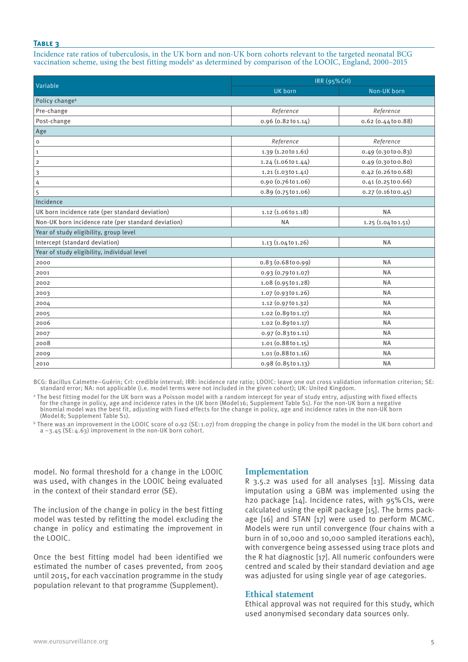Incidence rate ratios of tuberculosis, in the UK born and non-UK born cohorts relevant to the targeted neonatal BCG vaccination scheme, using the best fitting models<sup>a</sup> as determined by comparison of the LOOIC, England, 2000–2015

|                                                     | IRR (95% Crl)       |                           |  |  |  |
|-----------------------------------------------------|---------------------|---------------------------|--|--|--|
| Variable                                            | UK born             | Non-UK born               |  |  |  |
| Policy change <sup>b</sup>                          |                     |                           |  |  |  |
| Pre-change                                          | Reference           | Reference                 |  |  |  |
| Post-change                                         | 0.96 (0.82 to 1.14) | $0.62$ $(0.44$ to $0.88)$ |  |  |  |
| Age                                                 |                     |                           |  |  |  |
| $\mathsf{o}\xspace$                                 | Reference           | Reference                 |  |  |  |
| $\mathbf 1$                                         | 1.39 (1.20 to 1.61) | $0.49$ $(0.30100.83)$     |  |  |  |
| $\overline{2}$                                      | 1.24(1.06101.44)    | $0.49$ $(0.30100.80)$     |  |  |  |
| 3                                                   | 1.21 (1.03 to 1.41) | $0.42$ (0.26 to $0.68$ )  |  |  |  |
| 4                                                   | 0.90 (0.76to 1.06)  | 0.41(0.25100.66)          |  |  |  |
| 5                                                   | 0.89 (0.75 to 1.06) | $0.27$ (0.16 to 0.45)     |  |  |  |
| Incidence                                           |                     |                           |  |  |  |
| UK born incidence rate (per standard deviation)     | 1.12 (1.06to 1.18)  | <b>NA</b>                 |  |  |  |
| Non-UK born incidence rate (per standard deviation) | <b>NA</b>           | 1.25 (1.04 to 1.51)       |  |  |  |
| Year of study eligibility, group level              |                     |                           |  |  |  |
| Intercept (standard deviation)                      | 1.13 (1.04 to 1.26) | <b>NA</b>                 |  |  |  |
| Year of study eligibility, individual level         |                     |                           |  |  |  |
| 2000                                                | 0.83(0.68 to 0.99)  | <b>NA</b>                 |  |  |  |
| 2001                                                | 0.93 (0.79 to 1.07) | <b>NA</b>                 |  |  |  |
| 2002                                                | 1.08 (0.95 to 1.28) | <b>NA</b>                 |  |  |  |
| 2003                                                | 1.07 (0.93 to 1.26) | <b>NA</b>                 |  |  |  |
| 2004                                                | 1.12 (0.97 to 1.32) | <b>NA</b>                 |  |  |  |
| 2005                                                | 1.02 (0.89 to 1.17) | <b>NA</b>                 |  |  |  |
| 2006                                                | 1.02 (0.89 to 1.17) | <b>NA</b>                 |  |  |  |
| 2007                                                | 0.97(0.83101.11)    | <b>NA</b>                 |  |  |  |
| 2008                                                | 1.01(0.88101.15)    | <b>NA</b>                 |  |  |  |
| 2009                                                | 1.01 (0.88to 1.16)  | <b>NA</b>                 |  |  |  |
| 2010                                                | 0.98(0.85101.13)    | <b>NA</b>                 |  |  |  |

BCG: Bacillus Calmette–Guérin; CrI: credible interval; IRR: incidence rate ratio; LOOIC: leave one out cross validation information criterion; SE: standard error; NA: not applicable (i.e. model terms were not included in the given cohort); UK: United Kingdom.

a The best fitting model for the UK born was a Poisson model with a random intercept for year of study entry, adjusting with fixed effects for the change in policy, age and incidence rates in the UK born (Model 16; Supplement Table S1). For the non-UK born a negative binomial model was the best fit, adjusting with fixed effects for the change in policy, age and incidence rates in the non-UK born (Model8; Supplement Table S1).

b There was an improvement in the LOOIC score of 0.92 (SE: 1.07) from dropping the change in policy from the model in the UK born cohort and a −3.45 (SE:4.63) improvement in the non-UK born cohort.

model. No formal threshold for a change in the LOOIC was used, with changes in the LOOIC being evaluated in the context of their standard error (SE).

The inclusion of the change in policy in the best fitting model was tested by refitting the model excluding the change in policy and estimating the improvement in the LOOIC.

Once the best fitting model had been identified we estimated the number of cases prevented, from 2005 until 2015, for each vaccination programme in the study population relevant to that programme (Supplement).

## **Implementation**

R  $3.5.2$  was used for all analyses [13]. Missing data imputation using a GBM was implemented using the h2o package [14]. Incidence rates, with 95%CIs, were calculated using the epiR package [15]. The brms package [16] and STAN [17] were used to perform MCMC. Models were run until convergence (four chains with a burn in of 10,000 and 10,000 sampled iterations each), with convergence being assessed using trace plots and the R hat diagnostic [17]. All numeric confounders were centred and scaled by their standard deviation and age was adjusted for using single year of age categories.

#### **Ethical statement**

Ethical approval was not required for this study, which used anonymised secondary data sources only.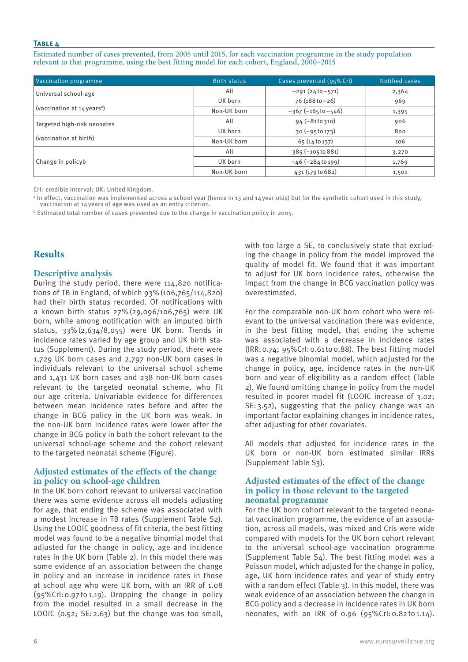Estimated number of cases prevented, from 2005 until 2015, for each vaccination programme in the study population relevant to that programme, using the best fitting model for each cohort, England, 2000–2015

| Vaccination programme                     | <b>Birth status</b> | Cases prevented (95% Crl) | Notified cases |
|-------------------------------------------|---------------------|---------------------------|----------------|
| Universal school-age                      | All                 | $-291(2410-571)$          | 2,364          |
|                                           | UK born             | $76$ (188 to $-26$ )      | 969            |
| (vaccination at $14$ years <sup>a</sup> ) | Non-UK born         | $-367 (-165 to -546)$     | 1,395          |
| Targeted high-risk neonates               | All                 | $94 (-8110310)$           | 906            |
|                                           | UK born             | $30 (-95 to 173)$         | 800            |
| (vaccination at birth)                    | Non-UK born         | 65(14 to 137)             | 106            |
|                                           | All                 | $385 (-105 to 881)$       | 3,270          |
| Change in policyb                         | UK born             | $-46 (-284 to 199)$       | 1,769          |
|                                           | Non-UK born         | 431 (179 to 682)          | 1,501          |

CrI: credible interval; UK: United Kingdom.

a In effect, vaccination was implemented across a school year (hence in 13 and 14year olds) but for the synthetic cohort used in this study, vaccination at 14years of age was used as an entry criterion.

b Estimated total number of cases prevented due to the change in vaccination policy in 2005.

# **Results**

## **Descriptive analysis**

During the study period, there were 114,820 notifications of TB in England, of which 93%(106,765/114,820) had their birth status recorded. Of notifications with a known birth status 27%(29,096/106,765) were UK born, while among notification with an imputed birth status, 33%(2,634/8,055) were UK born. Trends in incidence rates varied by age group and UK birth status (Supplement). During the study period, there were 1,729 UK born cases and 2,797 non-UK born cases in individuals relevant to the universal school scheme and 1,431 UK born cases and 238 non-UK born cases relevant to the targeted neonatal scheme, who fit our age criteria. Univariable evidence for differences between mean incidence rates before and after the change in BCG policy in the UK born was weak. In the non-UK born incidence rates were lower after the change in BCG policy in both the cohort relevant to the universal school-age scheme and the cohort relevant to the targeted neonatal scheme (Figure).

## **Adjusted estimates of the effects of the change in policy on school-age children**

In the UK born cohort relevant to universal vaccination there was some evidence across all models adjusting for age, that ending the scheme was associated with a modest increase in TB rates (Supplement Table S2). Using the LOOIC goodness of fit criteria, the best fitting model was found to be a negative binomial model that adjusted for the change in policy, age and incidence rates in the UK born (Table 2). In this model there was some evidence of an association between the change in policy and an increase in incidence rates in those at school age who were UK born, with an IRR of 1.08 (95%CrI:0.97to1.19). Dropping the change in policy from the model resulted in a small decrease in the LOOIC (0.52; SE: 2.63) but the change was too small,

with too large a SE, to conclusively state that excluding the change in policy from the model improved the quality of model fit. We found that it was important to adjust for UK born incidence rates, otherwise the impact from the change in BCG vaccination policy was overestimated.

For the comparable non-UK born cohort who were relevant to the universal vaccination there was evidence, in the best fitting model, that ending the scheme was associated with a decrease in incidence rates (IRR:0.74; 95%CrI:0.61 to0.88). The best fitting model was a negative binomial model, which adjusted for the change in policy, age, incidence rates in the non-UK born and year of eligibility as a random effect (Table 2). We found omitting change in policy from the model resulted in poorer model fit (LOOIC increase of 3.02; SE:3.52), suggesting that the policy change was an important factor explaining changes in incidence rates, after adjusting for other covariates.

All models that adjusted for incidence rates in the UK born or non-UK born estimated similar IRRs (Supplement Table S3).

## **Adjusted estimates of the effect of the change in policy in those relevant to the targeted neonatal programme**

For the UK born cohort relevant to the targeted neonatal vaccination programme, the evidence of an association, across all models, was mixed and CrIs were wide compared with models for the UK born cohort relevant to the universal school-age vaccination programme (Supplement Table S4). The best fitting model was a Poisson model, which adjusted for the change in policy, age, UK born incidence rates and year of study entry with a random effect (Table 3). In this model, there was weak evidence of an association between the change in BCG policy and a decrease in incidence rates in UK born neonates, with an IRR of 0.96 (95%CrI:0.82to1.14).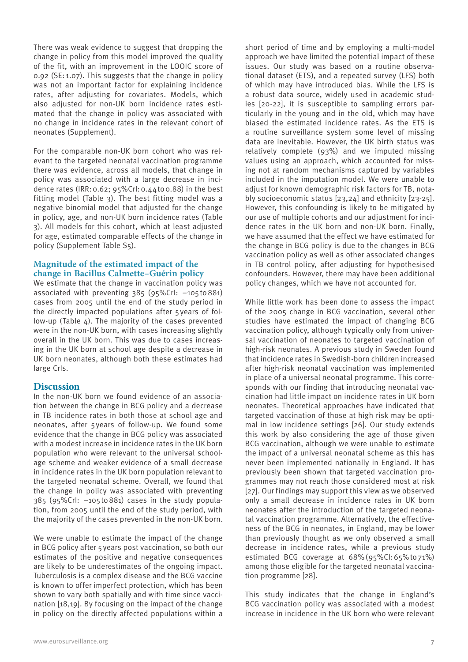There was weak evidence to suggest that dropping the change in policy from this model improved the quality of the fit, with an improvement in the LOOIC score of 0.92 (SE: 1.07). This suggests that the change in policy was not an important factor for explaining incidence rates, after adjusting for covariates. Models, which also adjusted for non-UK born incidence rates estimated that the change in policy was associated with no change in incidence rates in the relevant cohort of neonates (Supplement).

For the comparable non-UK born cohort who was relevant to the targeted neonatal vaccination programme there was evidence, across all models, that change in policy was associated with a large decrease in incidence rates (IRR:0.62; 95%CrI:0.44to0.88) in the best fitting model (Table 3). The best fitting model was a negative binomial model that adjusted for the change in policy, age, and non-UK born incidence rates (Table 3). All models for this cohort, which at least adjusted for age, estimated comparable effects of the change in policy (Supplement Table S5).

## **Magnitude of the estimated impact of the change in Bacillus Calmette–Guérin policy**

We estimate that the change in vaccination policy was associated with preventing 385 (95%CrI: −105to881) cases from 2005 until the end of the study period in the directly impacted populations after 5 years of follow-up (Table 4). The majority of the cases prevented were in the non-UK born, with cases increasing slightly overall in the UK born. This was due to cases increasing in the UK born at school age despite a decrease in UK born neonates, although both these estimates had large CrIs.

## **Discussion**

In the non-UK born we found evidence of an association between the change in BCG policy and a decrease in TB incidence rates in both those at school age and neonates, after 5years of follow-up. We found some evidence that the change in BCG policy was associated with a modest increase in incidence rates in the UK born population who were relevant to the universal schoolage scheme and weaker evidence of a small decrease in incidence rates in the UK born population relevant to the targeted neonatal scheme. Overall, we found that the change in policy was associated with preventing 385 (95%CrI: −105to881) cases in the study population, from 2005 until the end of the study period, with the majority of the cases prevented in the non-UK born.

We were unable to estimate the impact of the change in BCG policy after 5years post vaccination, so both our estimates of the positive and negative consequences are likely to be underestimates of the ongoing impact. Tuberculosis is a complex disease and the BCG vaccine is known to offer imperfect protection, which has been shown to vary both spatially and with time since vaccination [18,19]. By focusing on the impact of the change in policy on the directly affected populations within a

short period of time and by employing a multi-model approach we have limited the potential impact of these issues. Our study was based on a routine observational dataset (ETS), and a repeated survey (LFS) both of which may have introduced bias. While the LFS is a robust data source, widely used in academic studies [20-22], it is susceptible to sampling errors particularly in the young and in the old, which may have biased the estimated incidence rates. As the ETS is a routine surveillance system some level of missing data are inevitable. However, the UK birth status was relatively complete (93%) and we imputed missing values using an approach, which accounted for missing not at random mechanisms captured by variables included in the imputation model. We were unable to adjust for known demographic risk factors for TB, notably socioeconomic status [23,24] and ethnicity [23-25]. However, this confounding is likely to be mitigated by our use of multiple cohorts and our adjustment for incidence rates in the UK born and non-UK born. Finally, we have assumed that the effect we have estimated for the change in BCG policy is due to the changes in BCG vaccination policy as well as other associated changes in TB control policy, after adjusting for hypothesised confounders. However, there may have been additional policy changes, which we have not accounted for.

While little work has been done to assess the impact of the 2005 change in BCG vaccination, several other studies have estimated the impact of changing BCG vaccination policy, although typically only from universal vaccination of neonates to targeted vaccination of high-risk neonates. A previous study in Sweden found that incidence rates in Swedish-born children increased after high-risk neonatal vaccination was implemented in place of a universal neonatal programme. This corresponds with our finding that introducing neonatal vaccination had little impact on incidence rates in UK born neonates. Theoretical approaches have indicated that targeted vaccination of those at high risk may be optimal in low incidence settings [26]. Our study extends this work by also considering the age of those given BCG vaccination, although we were unable to estimate the impact of a universal neonatal scheme as this has never been implemented nationally in England. It has previously been shown that targeted vaccination programmes may not reach those considered most at risk [27]. Our findings may support this view as we observed only a small decrease in incidence rates in UK born neonates after the introduction of the targeted neonatal vaccination programme. Alternatively, the effectiveness of the BCG in neonates, in England, may be lower than previously thought as we only observed a small decrease in incidence rates, while a previous study estimated BCG coverage at 68% (95%CI: 65% to 71%) among those eligible for the targeted neonatal vaccination programme [28].

This study indicates that the change in England's BCG vaccination policy was associated with a modest increase in incidence in the UK born who were relevant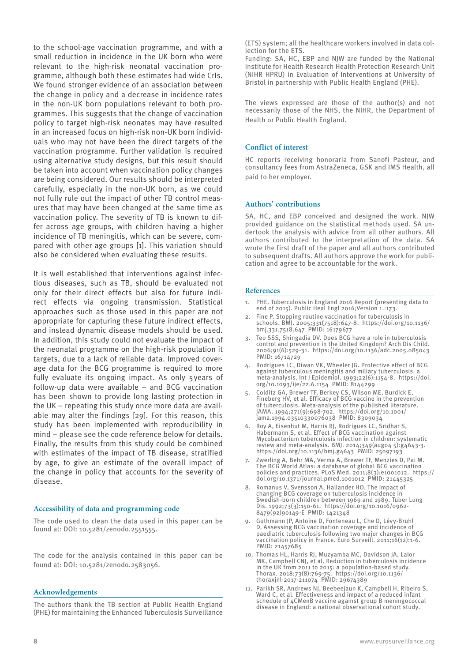to the school-age vaccination programme, and with a small reduction in incidence in the UK born who were relevant to the high-risk neonatal vaccination programme, although both these estimates had wide CrIs. We found stronger evidence of an association between the change in policy and a decrease in incidence rates in the non-UK born populations relevant to both programmes. This suggests that the change of vaccination policy to target high-risk neonates may have resulted in an increased focus on high-risk non-UK born individuals who may not have been the direct targets of the vaccination programme. Further validation is required using alternative study designs, but this result should be taken into account when vaccination policy changes are being considered. Our results should be interpreted carefully, especially in the non-UK born, as we could not fully rule out the impact of other TB control measures that may have been changed at the same time as vaccination policy. The severity of TB is known to differ across age groups, with children having a higher incidence of TB meningitis, which can be severe, compared with other age groups [1]. This variation should also be considered when evaluating these results.

It is well established that interventions against infectious diseases, such as TB, should be evaluated not only for their direct effects but also for future indirect effects via ongoing transmission. Statistical approaches such as those used in this paper are not appropriate for capturing these future indirect effects, and instead dynamic disease models should be used. In addition, this study could not evaluate the impact of the neonatal programme on the high-risk population it targets, due to a lack of reliable data. Improved coverage data for the BCG programme is required to more fully evaluate its ongoing impact. As only 5 years of follow-up data were available – and BCG vaccination has been shown to provide long lasting protection in the UK – repeating this study once more data are available may alter the findings [29]. For this reason, this study has been implemented with reproducibility in mind – please see the code reference below for details. Finally, the results from this study could be combined with estimates of the impact of TB disease, stratified by age, to give an estimate of the overall impact of the change in policy that accounts for the severity of disease.

#### **Accessibility of data and programming code**

The code used to clean the data used in this paper can be found at: DOI: 10.5281/zenodo.2551555.

The code for the analysis contained in this paper can be found at: DOI: 10.5281/zenodo.2583056.

#### **Acknowledgements**

The authors thank the TB section at Public Health England (PHE) for maintaining the Enhanced Tuberculosis Surveillance (ETS) system; all the healthcare workers involved in data collection for the ETS.

Funding: SA, HC, EBP and NJW are funded by the National Institute for Health Research Health Protection Research Unit (NIHR HPRU) in Evaluation of Interventions at University of Bristol in partnership with Public Health England (PHE).

The views expressed are those of the author(s) and not necessarily those of the NHS, the NIHR, the Department of Health or Public Health England.

#### **Conflict of interest**

HC reports receiving honoraria from Sanofi Pasteur, and consultancy fees from AstraZeneca, GSK and IMS Health, all paid to her employer.

#### **Authors' contributions**

SA, HC, and EBP conceived and designed the work. NIW provided guidance on the statistical methods used. SA undertook the analysis with advice from all other authors. All authors contributed to the interpretation of the data. SA wrote the first draft of the paper and all authors contributed to subsequent drafts. All authors approve the work for publication and agree to be accountable for the work.

#### **References**

- PHE. Tuberculosis in England 2016 Report (presenting data to end of 2015). Public Heal Engl 2016;Version 1.:173.
- Fine P. Stopping routine vaccination for tuberculosis in schools. BMJ. 2005;331(7518):647-8. https://doi.org/10.1136/ bmj.331.7518.647 PMID: 16179677
- 3. Teo SSS, Shingadia DV. Does BCG have a role in tuberculosis control and prevention in the United Kingdom? Arch Dis Child. 2006;91(6):529-31. https://doi.org/10.1136/adc.2005.085043 PMID: 16714729
- 4. Rodrigues LC, Diwan VK, Wheeler JG. Protective effect of BCG against tuberculous meningitis and miliary tuberculosis: a meta-analysis. Int J Epidemiol. 1993;22(6):1154-8. https://doi. org/10.1093/ije/22.6.1154 PMID: 8144299
- 5. Colditz GA, Brewer TF, Berkey CS, Wilson ME, Burdick E, Fineberg HV, et al. Efficacy of BCG vaccine in the prevention of tuberculosis. Meta-analysis of the published literature. JAMA. 1994;271(9):698-702. https://doi.org/10.1001/ jama.1994.03510330076038 PMID: 8309034
- 6. Roy A, Eisenhut M, Harris RJ, Rodrigues LC, Sridhar S, Habermann S, et al. Effect of BCG vaccination against Mycobacterium tuberculosis infection in children: systematic  $r$ eview and meta-analysis. BMJ. 2014;349(augo4 5): $g_4$ 643-3. https://doi.org/10.1136/bmj.g4643 PMID: 25097193
- 7. Zwerling A, Behr MA, Verma A, Brewer TF, Menzies D, Pai M. The BCG World Atlas: a database of global BCG vaccination policies and practices. PLoS Med. 2011;8(3):e1001012. https:// doi.org/10.1371/journal.pmed.1001012 PMID: 21445325
- 8. Romanus V, Svensson A, Hallander HO. The impact of changing BCG coverage on tuberculosis incidence in Swedish-born children between 1969 and 1989. Tuber Lung Dis. 1992;73(3):150-61. https://doi.org/10.1016/0962- 8479(92)90149-E PMID: 1421348
- 9. Guthmann JP, Antoine D, Fonteneau L, Che D, Lévy-Bruhl D. Assessing BCG vaccination coverage and incidence of paediatric tuberculosis following two major changes in BCG vaccination policy in France. Euro Surveill. 2011;16(12):1-6. PMID: 21457685
- 10. Thomas HL, Harris RJ, Muzyamba MC, Davidson JA, Lalor MK, Campbell CNJ, et al. Reduction in tuberculosis incidence in the UK from 2011 to 2015: a population-based study.<br>Thorax. 2018;73(8):769-75. https://doi.org/10.1136/ Thorax. 2018;73(8):769-75. https://doi.org/10.1136/ thoraxjnl-2017-211074 PMID: 29674389
- 11. Parikh SR, Andrews NJ, Beebeejaun K, Campbell H, Ribeiro S, Ward C, et al. Effectiveness and impact of a reduced infant schedule of 4CMenB vaccine against group B meningococcal disease in England: a national observational cohort study.